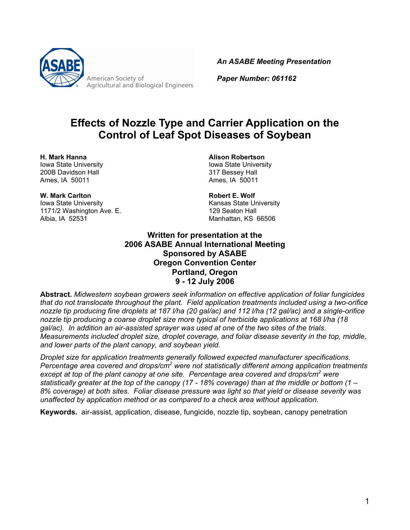

*An ASABE Meeting Presentation*

*Paper Number: 061162*

# **Effects of Nozzle Type and Carrier Application on the Control of Leaf Spot Diseases of Soybean**

**H. Mark Hanna Alison Robertson**  200B Davidson Hall 317 Bessey Hall Ames, IA 50011 **Ames, IA 50011** 

W. Mark Carlton **Robert E. Wolf Iowa State University Community** Community Kansas State University 1171/2 Washington Ave. E. 129 Seaton Hall<br>Albia, IA 52531 **Manhattan, KS** 

Iowa State University Iowa State University

Manhattan, KS 66506

**Written for presentation at the 2006 ASABE Annual International Meeting Sponsored by ASABE Oregon Convention Center Portland, Oregon 9 - 12 July 2006** 

**Abstract***. Midwestern soybean growers seek information on effective application of foliar fungicides that do not translocate throughout the plant. Field application treatments included using a two-orifice nozzle tip producing fine droplets at 187 l/ha (20 gal/ac) and 112 l/ha (12 gal/ac) and a single-orifice nozzle tip producing a coarse droplet size more typical of herbicide applications at 168 l/ha (18 gal/ac). In addition an air-assisted sprayer was used at one of the two sites of the trials. Measurements included droplet size, droplet coverage, and foliar disease severity in the top, middle, and lower parts of the plant canopy, and soybean yield.* 

*Droplet size for application treatments generally followed expected manufacturer specifications.*  Percentage area covered and drops/cm<sup>2</sup> were not statistically different among application treatments *except at top of the plant canopy at one site. Percentage area covered and drops/cm2 were statistically greater at the top of the canopy (17 - 18% coverage) than at the middle or bottom (1 – 8% coverage) at both sites. Foliar disease pressure was light so that yield or disease severity was unaffected by application method or as compared to a check area without application.* 

**Keywords.** air-assist, application, disease, fungicide, nozzle tip, soybean, canopy penetration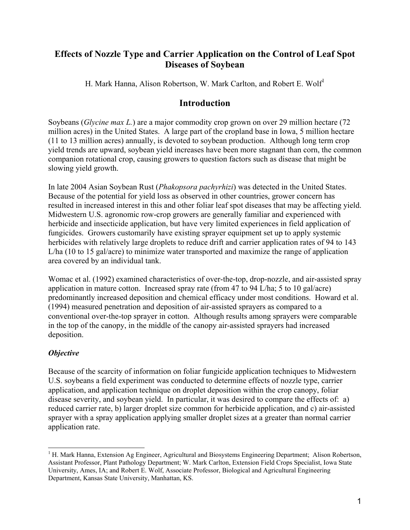# **Effects of Nozzle Type and Carrier Application on the Control of Leaf Spot Diseases of Soybean**

H. Mark Hanna, Alison Robertson, W. Mark Carlton, and Robert E. Wolf<sup>1</sup>

# **Introduction**

Soybeans (*Glycine max L.*) are a major commodity crop grown on over 29 million hectare (72 million acres) in the United States. A large part of the cropland base in Iowa, 5 million hectare (11 to 13 million acres) annually, is devoted to soybean production. Although long term crop yield trends are upward, soybean yield increases have been more stagnant than corn, the common companion rotational crop, causing growers to question factors such as disease that might be slowing yield growth.

In late 2004 Asian Soybean Rust (*Phakopsora pachyrhizi*) was detected in the United States. Because of the potential for yield loss as observed in other countries, grower concern has resulted in increased interest in this and other foliar leaf spot diseases that may be affecting yield. Midwestern U.S. agronomic row-crop growers are generally familiar and experienced with herbicide and insecticide application, but have very limited experiences in field application of fungicides. Growers customarily have existing sprayer equipment set up to apply systemic herbicides with relatively large droplets to reduce drift and carrier application rates of 94 to 143 L/ha (10 to 15 gal/acre) to minimize water transported and maximize the range of application area covered by an individual tank.

Womac et al. (1992) examined characteristics of over-the-top, drop-nozzle, and air-assisted spray application in mature cotton. Increased spray rate (from 47 to 94 L/ha; 5 to 10 gal/acre) predominantly increased deposition and chemical efficacy under most conditions. Howard et al. (1994) measured penetration and deposition of air-assisted sprayers as compared to a conventional over-the-top sprayer in cotton. Although results among sprayers were comparable in the top of the canopy, in the middle of the canopy air-assisted sprayers had increased deposition.

### *Objective*

Because of the scarcity of information on foliar fungicide application techniques to Midwestern U.S. soybeans a field experiment was conducted to determine effects of nozzle type, carrier application, and application technique on droplet deposition within the crop canopy, foliar disease severity, and soybean yield. In particular, it was desired to compare the effects of: a) reduced carrier rate, b) larger droplet size common for herbicide application, and c) air-assisted sprayer with a spray application applying smaller droplet sizes at a greater than normal carrier application rate.

<sup>&</sup>lt;sup>1</sup> H. Mark Hanna, Extension Ag Engineer, Agricultural and Biosystems Engineering Department; Alison Robertson, Assistant Professor, Plant Pathology Department; W. Mark Carlton, Extension Field Crops Specialist, Iowa State University, Ames, IA; and Robert E. Wolf, Associate Professor, Biological and Agricultural Engineering Department, Kansas State University, Manhattan, KS.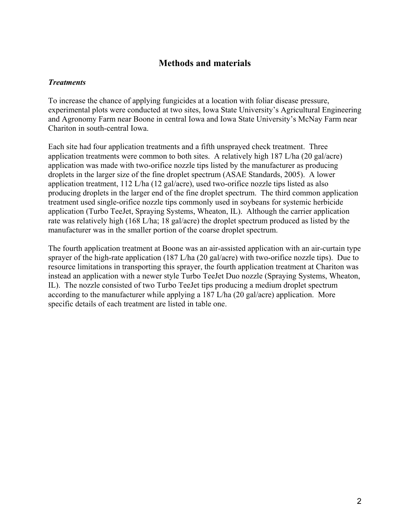## **Methods and materials**

#### *Treatments*

To increase the chance of applying fungicides at a location with foliar disease pressure, experimental plots were conducted at two sites, Iowa State University's Agricultural Engineering and Agronomy Farm near Boone in central Iowa and Iowa State University's McNay Farm near Chariton in south-central Iowa.

Each site had four application treatments and a fifth unsprayed check treatment. Three application treatments were common to both sites. A relatively high 187 L/ha (20 gal/acre) application was made with two-orifice nozzle tips listed by the manufacturer as producing droplets in the larger size of the fine droplet spectrum (ASAE Standards, 2005). A lower application treatment, 112 L/ha (12 gal/acre), used two-orifice nozzle tips listed as also producing droplets in the larger end of the fine droplet spectrum. The third common application treatment used single-orifice nozzle tips commonly used in soybeans for systemic herbicide application (Turbo TeeJet, Spraying Systems, Wheaton, IL). Although the carrier application rate was relatively high (168 L/ha; 18 gal/acre) the droplet spectrum produced as listed by the manufacturer was in the smaller portion of the coarse droplet spectrum.

The fourth application treatment at Boone was an air-assisted application with an air-curtain type sprayer of the high-rate application (187 L/ha (20 gal/acre) with two-orifice nozzle tips). Due to resource limitations in transporting this sprayer, the fourth application treatment at Chariton was instead an application with a newer style Turbo TeeJet Duo nozzle (Spraying Systems, Wheaton, IL). The nozzle consisted of two Turbo TeeJet tips producing a medium droplet spectrum according to the manufacturer while applying a 187 L/ha (20 gal/acre) application. More specific details of each treatment are listed in table one.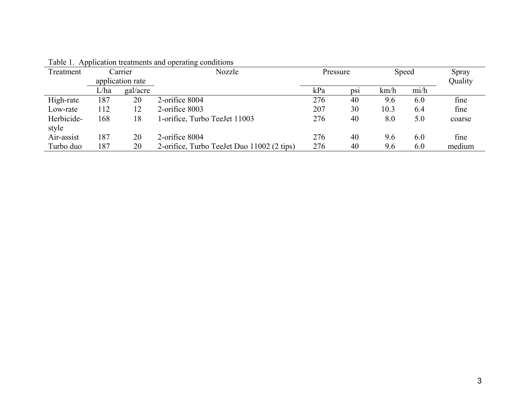| Treatment  |      | Carrier<br>application rate | Nozzle                                     | Pressure |                 | Speed |      | Spray<br>Quality |
|------------|------|-----------------------------|--------------------------------------------|----------|-----------------|-------|------|------------------|
|            | L/ha | gal/acre                    |                                            | kPa      | D <sub>S1</sub> | km/h  | mi/h |                  |
| High-rate  | 187  | 20                          | 2-orifice 8004                             | 276      | 40              | 9.6   | 6.0  | fine             |
| Low-rate   | 112  | 12                          | 2-orifice 8003                             | 207      | 30              | 10.3  | 6.4  | fine             |
| Herbicide- | 168  | 18                          | 1-orifice, Turbo TeeJet 11003              | 276      | 40              | 8.0   | 5.0  | coarse           |
| style      |      |                             |                                            |          |                 |       |      |                  |
| Air-assist | 187  | 20                          | 2-orifice 8004                             | 276      | 40              | 9.6   | 6.0  | fine             |
| Turbo duo  | 187  | 20                          | 2-orifice, Turbo TeeJet Duo 11002 (2 tips) | 276      | 40              | 9.6   | 6.0  | medium           |

Table 1. Application treatments and operating conditions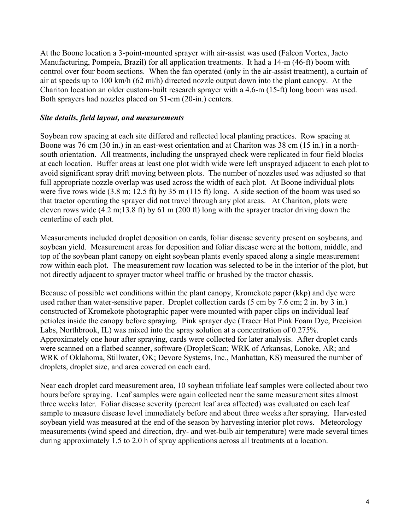At the Boone location a 3-point-mounted sprayer with air-assist was used (Falcon Vortex, Jacto Manufacturing, Pompeia, Brazil) for all application treatments. It had a 14-m (46-ft) boom with control over four boom sections. When the fan operated (only in the air-assist treatment), a curtain of air at speeds up to 100 km/h (62 mi/h) directed nozzle output down into the plant canopy. At the Chariton location an older custom-built research sprayer with a 4.6-m (15-ft) long boom was used. Both sprayers had nozzles placed on 51-cm (20-in.) centers.

#### *Site details, field layout, and measurements*

Soybean row spacing at each site differed and reflected local planting practices. Row spacing at Boone was 76 cm (30 in.) in an east-west orientation and at Chariton was 38 cm (15 in.) in a northsouth orientation. All treatments, including the unsprayed check were replicated in four field blocks at each location. Buffer areas at least one plot width wide were left unsprayed adjacent to each plot to avoid significant spray drift moving between plots. The number of nozzles used was adjusted so that full appropriate nozzle overlap was used across the width of each plot. At Boone individual plots were five rows wide (3.8 m; 12.5 ft) by 35 m (115 ft) long. A side section of the boom was used so that tractor operating the sprayer did not travel through any plot areas. At Chariton, plots were eleven rows wide (4.2 m;13.8 ft) by 61 m (200 ft) long with the sprayer tractor driving down the centerline of each plot.

Measurements included droplet deposition on cards, foliar disease severity present on soybeans, and soybean yield. Measurement areas for deposition and foliar disease were at the bottom, middle, and top of the soybean plant canopy on eight soybean plants evenly spaced along a single measurement row within each plot. The measurement row location was selected to be in the interior of the plot, but not directly adjacent to sprayer tractor wheel traffic or brushed by the tractor chassis.

Because of possible wet conditions within the plant canopy, Kromekote paper (kkp) and dye were used rather than water-sensitive paper. Droplet collection cards (5 cm by 7.6 cm; 2 in. by 3 in.) constructed of Kromekote photographic paper were mounted with paper clips on individual leaf petioles inside the canopy before spraying. Pink sprayer dye (Tracer Hot Pink Foam Dye, Precision Labs, Northbrook, IL) was mixed into the spray solution at a concentration of 0.275%. Approximately one hour after spraying, cards were collected for later analysis. After droplet cards were scanned on a flatbed scanner, software (DropletScan; WRK of Arkansas, Lonoke, AR; and WRK of Oklahoma, Stillwater, OK; Devore Systems, Inc., Manhattan, KS) measured the number of droplets, droplet size, and area covered on each card.

Near each droplet card measurement area, 10 soybean trifoliate leaf samples were collected about two hours before spraying. Leaf samples were again collected near the same measurement sites almost three weeks later. Foliar disease severity (percent leaf area affected) was evaluated on each leaf sample to measure disease level immediately before and about three weeks after spraying. Harvested soybean yield was measured at the end of the season by harvesting interior plot rows. Meteorology measurements (wind speed and direction, dry- and wet-bulb air temperature) were made several times during approximately 1.5 to 2.0 h of spray applications across all treatments at a location.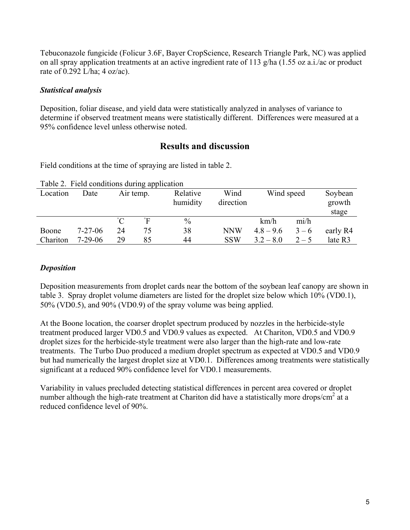Tebuconazole fungicide (Folicur 3.6F, Bayer CropScience, Research Triangle Park, NC) was applied on all spray application treatments at an active ingredient rate of 113 g/ha (1.55 oz a.i./ac or product rate of 0.292 L/ha; 4 oz/ac).

#### *Statistical analysis*

Deposition, foliar disease, and yield data were statistically analyzed in analyses of variance to determine if observed treatment means were statistically different. Differences were measured at a 95% confidence level unless otherwise noted.

## **Results and discussion**

Field conditions at the time of spraying are listed in table 2.

| Table 2. Field conditions during application |               |    |                |                      |                   |             |         |                            |
|----------------------------------------------|---------------|----|----------------|----------------------|-------------------|-------------|---------|----------------------------|
| Location                                     | Date          |    | Air temp.      | Relative<br>humidity | Wind<br>direction | Wind speed  |         | Soybean<br>growth<br>stage |
|                                              |               |    | $^\circ\rm{F}$ | $\%$                 |                   | km/h        | mi/h    |                            |
| Boone                                        | $7 - 27 - 06$ | 24 | 75             | 38                   | <b>NNW</b>        | $4.8 - 9.6$ | $3 - 6$ | early R4                   |
| Chariton                                     | $7-29-06$     | 29 | 85             | 44                   | <b>SSW</b>        | $3.2 - 8.0$ | $2 - 5$ | late R3                    |

Table 2. Field conditions during application

### *Deposition*

Deposition measurements from droplet cards near the bottom of the soybean leaf canopy are shown in table 3. Spray droplet volume diameters are listed for the droplet size below which 10% (VD0.1), 50% (VD0.5), and 90% (VD0.9) of the spray volume was being applied.

At the Boone location, the coarser droplet spectrum produced by nozzles in the herbicide-style treatment produced larger VD0.5 and VD0.9 values as expected. At Chariton, VD0.5 and VD0.9 droplet sizes for the herbicide-style treatment were also larger than the high-rate and low-rate treatments. The Turbo Duo produced a medium droplet spectrum as expected at VD0.5 and VD0.9 but had numerically the largest droplet size at VD0.1. Differences among treatments were statistically significant at a reduced 90% confidence level for VD0.1 measurements.

Variability in values precluded detecting statistical differences in percent area covered or droplet number although the high-rate treatment at Chariton did have a statistically more drops/cm<sup>2</sup> at a reduced confidence level of 90%.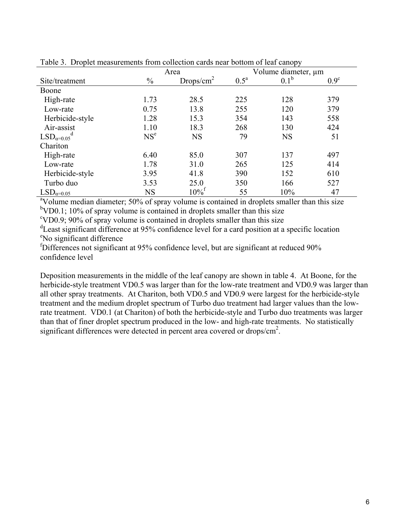|                         |                 | Area                  | r 1<br>Volume diameter, µm |                  |             |  |
|-------------------------|-----------------|-----------------------|----------------------------|------------------|-------------|--|
| Site/treatment          | $\frac{0}{0}$   | Drops/cm <sup>2</sup> | $0.5^{\text{a}}$           | 0.1 <sup>b</sup> | $0.9^\circ$ |  |
| Boone                   |                 |                       |                            |                  |             |  |
| High-rate               | 1.73            | 28.5                  | 225                        | 128              | 379         |  |
| Low-rate                | 0.75            | 13.8                  | 255                        | 120              | 379         |  |
| Herbicide-style         | 1.28            | 15.3                  | 354                        | 143              | 558         |  |
| Air-assist              | 1.10            | 18.3                  | 268                        | 130              | 424         |  |
| $LSD_{\alpha=0.05}^{d}$ | NS <sup>e</sup> | <b>NS</b>             | 79                         | <b>NS</b>        | 51          |  |
| Chariton                |                 |                       |                            |                  |             |  |
| High-rate               | 6.40            | 85.0                  | 307                        | 137              | 497         |  |
| Low-rate                | 1.78            | 31.0                  | 265                        | 125              | 414         |  |
| Herbicide-style         | 3.95            | 41.8                  | 390                        | 152              | 610         |  |
| Turbo duo               | 3.53            | 25.0                  | 350                        | 166              | 527         |  |
| $LSD\alpha=0.05$        | <b>NS</b>       | $10\%$ <sup>t</sup>   | 55                         | 10%              | 47          |  |

Table 3. Droplet measurements from collection cards near bottom of leaf canopy

 $\frac{\text{LSD}_{\alpha=0.05}}{\text{4} \text{Volume} \text{ median diameter; } 50\% \text{ of spray volume is contained in droplets smaller than this size}}$  $b$ VD0.1; 10% of spray volume is contained in droplets smaller than this size

 $\rm ^{c}VDO.9$ ; 90% of spray volume is contained in droplets smaller than this size

<sup>d</sup>Least significant difference at 95% confidence level for a card position at a specific location e No significant difference

f Differences not significant at 95% confidence level, but are significant at reduced 90% confidence level

Deposition measurements in the middle of the leaf canopy are shown in table 4. At Boone, for the herbicide-style treatment VD0.5 was larger than for the low-rate treatment and VD0.9 was larger than all other spray treatments. At Chariton, both VD0.5 and VD0.9 were largest for the herbicide-style treatment and the medium droplet spectrum of Turbo duo treatment had larger values than the lowrate treatment. VD0.1 (at Chariton) of both the herbicide-style and Turbo duo treatments was larger than that of finer droplet spectrum produced in the low- and high-rate treatments. No statistically significant differences were detected in percent area covered or drops/cm<sup>2</sup>.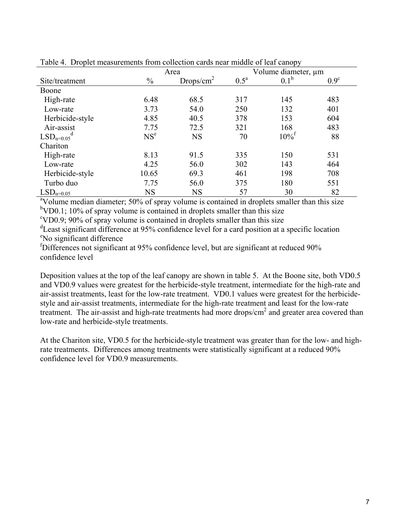|                         |                 | Area                  | Volume diameter, µm |                   |                |  |
|-------------------------|-----------------|-----------------------|---------------------|-------------------|----------------|--|
| Site/treatment          | $\frac{0}{0}$   | Drops/cm <sup>2</sup> | $0.5^a$             | 0.1 <sup>b</sup>  | $0.9^\text{c}$ |  |
| Boone                   |                 |                       |                     |                   |                |  |
| High-rate               | 6.48            | 68.5                  | 317                 | 145               | 483            |  |
| Low-rate                | 3.73            | 54.0                  | 250                 | 132               | 401            |  |
| Herbicide-style         | 4.85            | 40.5                  | 378                 | 153               | 604            |  |
| Air-assist              | 7.75            | 72.5                  | 321                 | 168               | 483            |  |
| $LSD_{\alpha=0.05}^{d}$ | NS <sup>e</sup> | <b>NS</b>             | 70                  | $10\%^{\text{f}}$ | 88             |  |
| Chariton                |                 |                       |                     |                   |                |  |
| High-rate               | 8.13            | 91.5                  | 335                 | 150               | 531            |  |
| Low-rate                | 4.25            | 56.0                  | 302                 | 143               | 464            |  |
| Herbicide-style         | 10.65           | 69.3                  | 461                 | 198               | 708            |  |
| Turbo duo               | 7.75            | 56.0                  | 375                 | 180               | 551            |  |
| $LSD\alpha=0.05$        | <b>NS</b>       | <b>NS</b>             | 57                  | 30                | 82             |  |

Table 4. Droplet measurements from collection cards near middle of leaf canopy

 $\frac{\text{LSD}_{\alpha=0.05}}{\text{a} \cdot \text{Volume}}$  median diameter; 50% of spray volume is contained in droplets smaller than this size  $b$ VD0.1; 10% of spray volume is contained in droplets smaller than this size

 $\rm ^{c}VDO.9$ ; 90% of spray volume is contained in droplets smaller than this size

<sup>d</sup>Least significant difference at 95% confidence level for a card position at a specific location e No significant difference

f Differences not significant at 95% confidence level, but are significant at reduced 90% confidence level

Deposition values at the top of the leaf canopy are shown in table 5. At the Boone site, both VD0.5 and VD0.9 values were greatest for the herbicide-style treatment, intermediate for the high-rate and air-assist treatments, least for the low-rate treatment. VD0.1 values were greatest for the herbicidestyle and air-assist treatments, intermediate for the high-rate treatment and least for the low-rate treatment. The air-assist and high-rate treatments had more drops/ $\text{cm}^2$  and greater area covered than low-rate and herbicide-style treatments.

At the Chariton site, VD0.5 for the herbicide-style treatment was greater than for the low- and highrate treatments. Differences among treatments were statistically significant at a reduced 90% confidence level for VD0.9 measurements.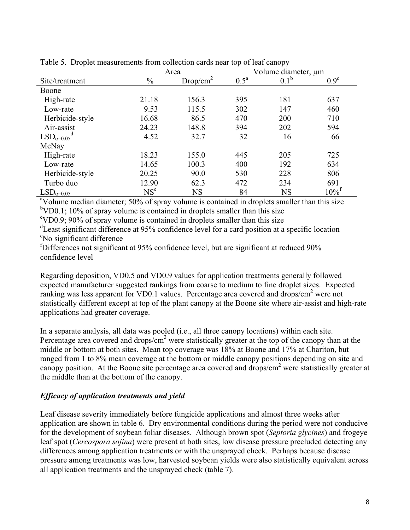|                                  |                 | Area        | Volume diameter, µm |                  |                     |  |
|----------------------------------|-----------------|-------------|---------------------|------------------|---------------------|--|
| Site/treatment                   | $\frac{0}{0}$   | $Drop/cm^2$ | $0.5^a$             | 0.1 <sup>b</sup> | $0.9^\text{c}$      |  |
| Boone                            |                 |             |                     |                  |                     |  |
| High-rate                        | 21.18           | 156.3       | 395                 | 181              | 637                 |  |
| Low-rate                         | 9.53            | 115.5       | 302                 | 147              | 460                 |  |
| Herbicide-style                  | 16.68           | 86.5        | 470                 | 200              | 710                 |  |
| Air-assist                       | 24.23           | 148.8       | 394                 | 202              | 594                 |  |
| $LSD_{\alpha=0.05}$ <sup>d</sup> | 4.52            | 32.7        | 32                  | 16               | 66                  |  |
| McNay                            |                 |             |                     |                  |                     |  |
| High-rate                        | 18.23           | 155.0       | 445                 | 205              | 725                 |  |
| Low-rate                         | 14.65           | 100.3       | 400                 | 192              | 634                 |  |
| Herbicide-style                  | 20.25           | 90.0        | 530                 | 228              | 806                 |  |
| Turbo duo                        | 12.90           | 62.3        | 472                 | 234              | 691                 |  |
| $LSD_{\alpha=0.05}$              | NS <sup>e</sup> | <b>NS</b>   | 84                  | <b>NS</b>        | $10\%$ <sup>t</sup> |  |

Table 5. Droplet measurements from collection cards near top of leaf canopy

<sup>a</sup>Volume median diameter; 50% of spray volume is contained in droplets smaller than this size  $b$ VD0.1; 10% of spray volume is contained in droplets smaller than this size

 $\rm ^{c}VDO.9$ ; 90% of spray volume is contained in droplets smaller than this size

<sup>d</sup>Least significant difference at 95% confidence level for a card position at a specific location e No significant difference

f Differences not significant at 95% confidence level, but are significant at reduced 90% confidence level

Regarding deposition, VD0.5 and VD0.9 values for application treatments generally followed expected manufacturer suggested rankings from coarse to medium to fine droplet sizes. Expected ranking was less apparent for VD0.1 values. Percentage area covered and drops/cm<sup>2</sup> were not statistically different except at top of the plant canopy at the Boone site where air-assist and high-rate applications had greater coverage.

In a separate analysis, all data was pooled (i.e., all three canopy locations) within each site. Percentage area covered and drops/ $\text{cm}^2$  were statistically greater at the top of the canopy than at the middle or bottom at both sites. Mean top coverage was 18% at Boone and 17% at Chariton, but ranged from 1 to 8% mean coverage at the bottom or middle canopy positions depending on site and canopy position. At the Boone site percentage area covered and drops/cm<sup>2</sup> were statistically greater at the middle than at the bottom of the canopy.

### *Efficacy of application treatments and yield*

Leaf disease severity immediately before fungicide applications and almost three weeks after application are shown in table 6. Dry environmental conditions during the period were not conducive for the development of soybean foliar diseases. Although brown spot (*Septoria glycines*) and frogeye leaf spot (*Cercospora sojina*) were present at both sites, low disease pressure precluded detecting any differences among application treatments or with the unsprayed check. Perhaps because disease pressure among treatments was low, harvested soybean yields were also statistically equivalent across all application treatments and the unsprayed check (table 7).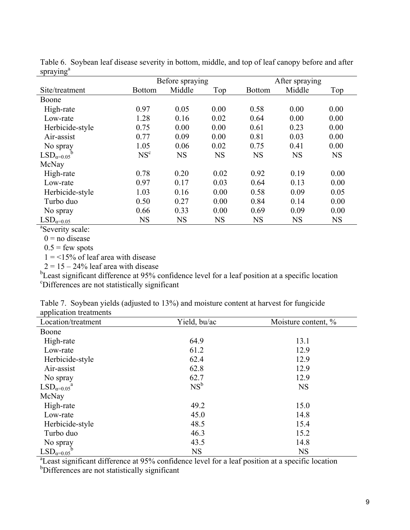|                                                             |                 | Before spraying |           |               | After spraying |           |
|-------------------------------------------------------------|-----------------|-----------------|-----------|---------------|----------------|-----------|
| Site/treatment                                              | <b>Bottom</b>   | Middle          | Top       | <b>Bottom</b> | Middle         | Top       |
| Boone                                                       |                 |                 |           |               |                |           |
| High-rate                                                   | 0.97            | 0.05            | 0.00      | 0.58          | 0.00           | 0.00      |
| Low-rate                                                    | 1.28            | 0.16            | 0.02      | 0.64          | 0.00           | 0.00      |
| Herbicide-style                                             | 0.75            | 0.00            | 0.00      | 0.61          | 0.23           | 0.00      |
| Air-assist                                                  | 0.77            | 0.09            | 0.00      | 0.81          | 0.03           | 0.00      |
| No spray                                                    | 1.05            | 0.06            | 0.02      | 0.75          | 0.41           | 0.00      |
| $LSD_{\alpha=0.05}$                                         | NS <sup>c</sup> | <b>NS</b>       | <b>NS</b> | <b>NS</b>     | <b>NS</b>      | <b>NS</b> |
| McNay                                                       |                 |                 |           |               |                |           |
| High-rate                                                   | 0.78            | 0.20            | 0.02      | 0.92          | 0.19           | 0.00      |
| Low-rate                                                    | 0.97            | 0.17            | 0.03      | 0.64          | 0.13           | 0.00      |
| Herbicide-style                                             | 1.03            | 0.16            | 0.00      | 0.58          | 0.09           | 0.05      |
| Turbo duo                                                   | 0.50            | 0.27            | 0.00      | 0.84          | 0.14           | 0.00      |
| No spray                                                    | 0.66            | 0.33            | 0.00      | 0.69          | 0.09           | 0.00      |
| $LSD\alpha=0.05$                                            | <b>NS</b>       | <b>NS</b>       | <b>NS</b> | <b>NS</b>     | <b>NS</b>      | <b>NS</b> |
| $a_{\rm C\alpha\gamma\alpha\gamma\gamma\gamma\gamma\alpha}$ |                 |                 |           |               |                |           |

Table 6. Soybean leaf disease severity in bottom, middle, and top of leaf canopy before and after spraying<sup>a</sup>

<sup>a</sup>Severity scale:

 $0 = no$  disease

 $0.5$  = few spots

 $1 = 15\%$  of leaf area with disease

 $2 = 15 - 24\%$  leaf area with disease

<sup>b</sup>Least significant difference at 95% confidence level for a leaf position at a specific location c Differences are not statistically significant

| Table 7. Soybean yields (adjusted to 13%) and moisture content at harvest for fungicide |  |  |  |
|-----------------------------------------------------------------------------------------|--|--|--|
| application treatments                                                                  |  |  |  |

| Location/treatment      | Yield, bu/ac                                                                                                 | Moisture content, % |
|-------------------------|--------------------------------------------------------------------------------------------------------------|---------------------|
| Boone                   |                                                                                                              |                     |
| High-rate               | 64.9                                                                                                         | 13.1                |
| Low-rate                | 61.2                                                                                                         | 12.9                |
| Herbicide-style         | 62.4                                                                                                         | 12.9                |
| Air-assist              | 62.8                                                                                                         | 12.9                |
| No spray                | 62.7                                                                                                         | 12.9                |
| $LSD_{\alpha=0.05}^{a}$ | $NS^b$                                                                                                       | <b>NS</b>           |
| McNay                   |                                                                                                              |                     |
| High-rate               | 49.2                                                                                                         | 15.0                |
| Low-rate                | 45.0                                                                                                         | 14.8                |
| Herbicide-style         | 48.5                                                                                                         | 15.4                |
| Turbo duo               | 46.3                                                                                                         | 15.2                |
| No spray                | 43.5                                                                                                         | 14.8                |
| $LSD_{\alpha=0.05}$     | <b>NS</b>                                                                                                    | <b>NS</b>           |
|                         | <sup>a</sup> Least significant difference at 95% confidence level for a leaf position at a specific location |                     |

b<sub>Differences</sub> are not statistically significant